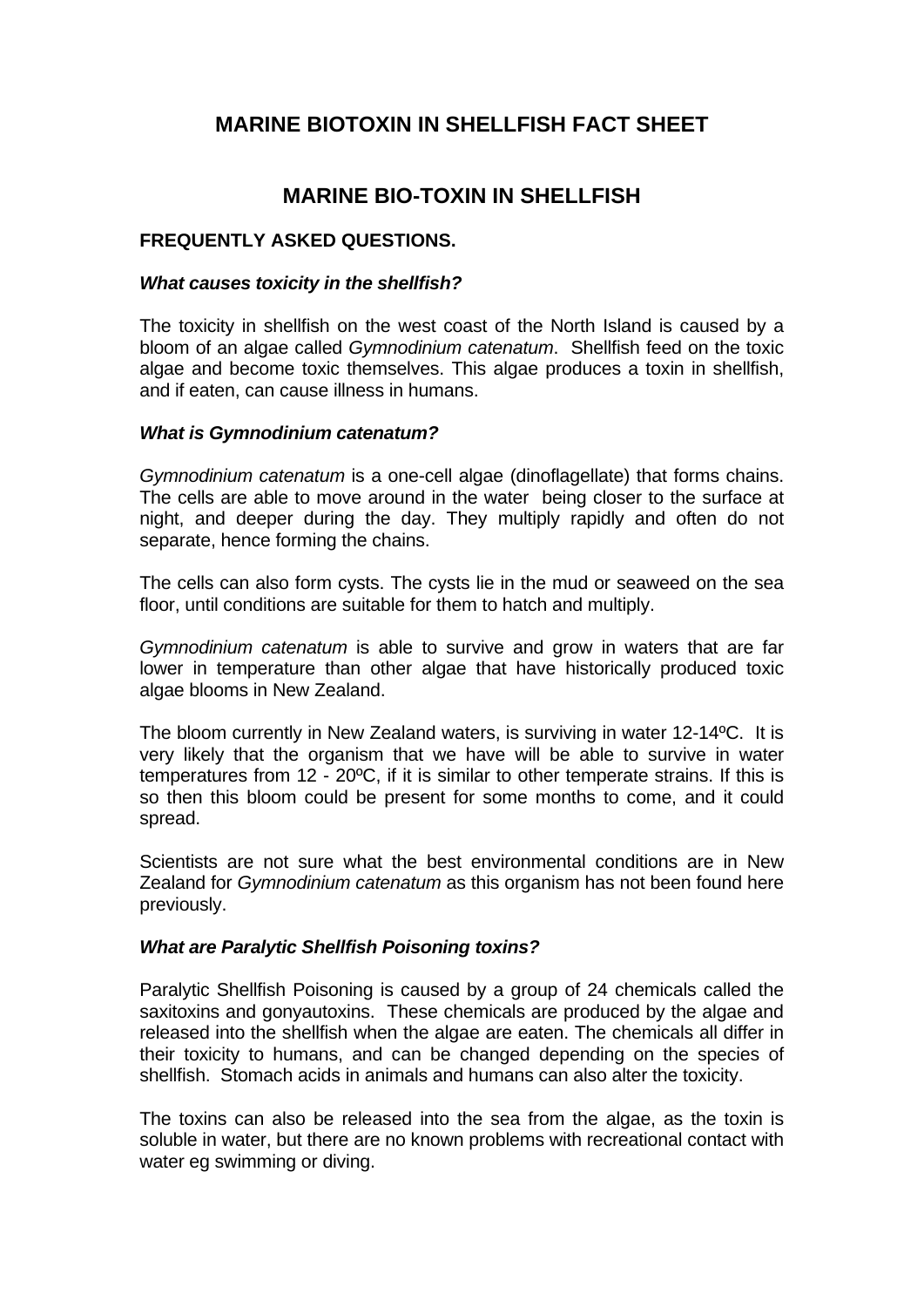# **MARINE BIOTOXIN IN SHELLFISH FACT SHEET**

# **MARINE BIO-TOXIN IN SHELLFISH**

## **FREQUENTLY ASKED QUESTIONS.**

#### *What causes toxicity in the shellfish?*

The toxicity in shellfish on the west coast of the North Island is caused by a bloom of an algae called *Gymnodinium catenatum*. Shellfish feed on the toxic algae and become toxic themselves. This algae produces a toxin in shellfish, and if eaten, can cause illness in humans.

#### *What is Gymnodinium catenatum?*

*Gymnodinium catenatum* is a one-cell algae (dinoflagellate) that forms chains. The cells are able to move around in the water being closer to the surface at night, and deeper during the day. They multiply rapidly and often do not separate, hence forming the chains.

The cells can also form cysts. The cysts lie in the mud or seaweed on the sea floor, until conditions are suitable for them to hatch and multiply.

*Gymnodinium catenatum* is able to survive and grow in waters that are far lower in temperature than other algae that have historically produced toxic algae blooms in New Zealand.

The bloom currently in New Zealand waters, is surviving in water 12-14ºC. It is very likely that the organism that we have will be able to survive in water temperatures from 12 - 20ºC, if it is similar to other temperate strains. If this is so then this bloom could be present for some months to come, and it could spread.

Scientists are not sure what the best environmental conditions are in New Zealand for *Gymnodinium catenatum* as this organism has not been found here previously.

## *What are Paralytic Shellfish Poisoning toxins?*

Paralytic Shellfish Poisoning is caused by a group of 24 chemicals called the saxitoxins and gonyautoxins. These chemicals are produced by the algae and released into the shellfish when the algae are eaten. The chemicals all differ in their toxicity to humans, and can be changed depending on the species of shellfish. Stomach acids in animals and humans can also alter the toxicity.

The toxins can also be released into the sea from the algae, as the toxin is soluble in water, but there are no known problems with recreational contact with water eg swimming or diving.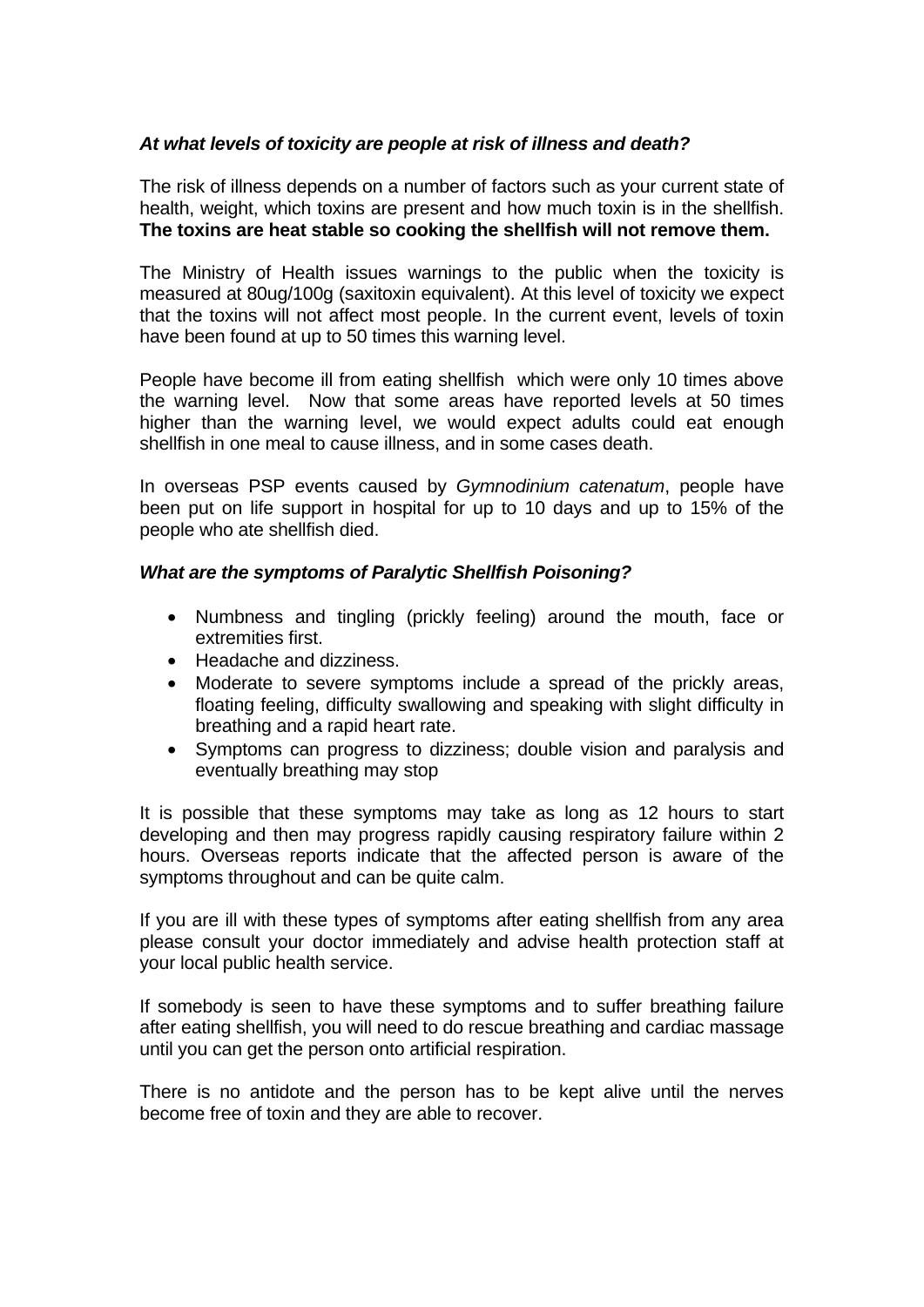### *At what levels of toxicity are people at risk of illness and death?*

The risk of illness depends on a number of factors such as your current state of health, weight, which toxins are present and how much toxin is in the shellfish. **The toxins are heat stable so cooking the shellfish will not remove them.**

The Ministry of Health issues warnings to the public when the toxicity is measured at 80ug/100g (saxitoxin equivalent). At this level of toxicity we expect that the toxins will not affect most people. In the current event, levels of toxin have been found at up to 50 times this warning level.

People have become ill from eating shellfish which were only 10 times above the warning level. Now that some areas have reported levels at 50 times higher than the warning level, we would expect adults could eat enough shellfish in one meal to cause illness, and in some cases death.

In overseas PSP events caused by *Gymnodinium catenatum*, people have been put on life support in hospital for up to 10 days and up to 15% of the people who ate shellfish died.

#### *What are the symptoms of Paralytic Shellfish Poisoning?*

- Numbness and tingling (prickly feeling) around the mouth, face or extremities first.
- Headache and dizziness.
- Moderate to severe symptoms include a spread of the prickly areas, floating feeling, difficulty swallowing and speaking with slight difficulty in breathing and a rapid heart rate.
- Symptoms can progress to dizziness; double vision and paralysis and eventually breathing may stop

It is possible that these symptoms may take as long as 12 hours to start developing and then may progress rapidly causing respiratory failure within 2 hours. Overseas reports indicate that the affected person is aware of the symptoms throughout and can be quite calm.

If you are ill with these types of symptoms after eating shellfish from any area please consult your doctor immediately and advise health protection staff at your local public health service.

If somebody is seen to have these symptoms and to suffer breathing failure after eating shellfish, you will need to do rescue breathing and cardiac massage until you can get the person onto artificial respiration.

There is no antidote and the person has to be kept alive until the nerves become free of toxin and they are able to recover.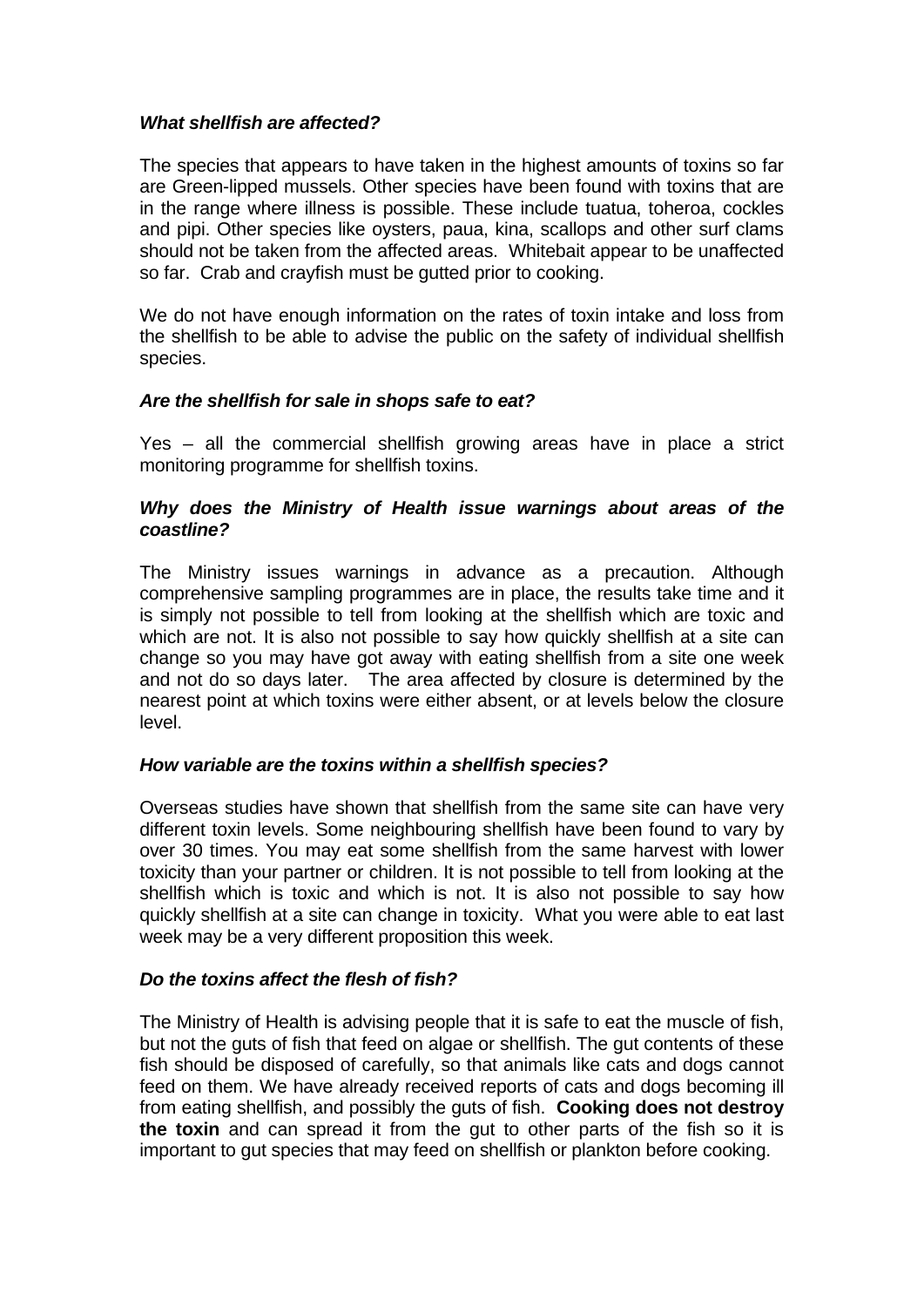## *What shellfish are affected?*

The species that appears to have taken in the highest amounts of toxins so far are Green-lipped mussels. Other species have been found with toxins that are in the range where illness is possible. These include tuatua, toheroa, cockles and pipi. Other species like oysters, paua, kina, scallops and other surf clams should not be taken from the affected areas. Whitebait appear to be unaffected so far. Crab and crayfish must be gutted prior to cooking.

We do not have enough information on the rates of toxin intake and loss from the shellfish to be able to advise the public on the safety of individual shellfish species.

## *Are the shellfish for sale in shops safe to eat?*

Yes – all the commercial shellfish growing areas have in place a strict monitoring programme for shellfish toxins.

## *Why does the Ministry of Health issue warnings about areas of the coastline?*

The Ministry issues warnings in advance as a precaution. Although comprehensive sampling programmes are in place, the results take time and it is simply not possible to tell from looking at the shellfish which are toxic and which are not. It is also not possible to say how quickly shellfish at a site can change so you may have got away with eating shellfish from a site one week and not do so days later. The area affected by closure is determined by the nearest point at which toxins were either absent, or at levels below the closure level.

## *How variable are the toxins within a shellfish species?*

Overseas studies have shown that shellfish from the same site can have very different toxin levels. Some neighbouring shellfish have been found to vary by over 30 times. You may eat some shellfish from the same harvest with lower toxicity than your partner or children. It is not possible to tell from looking at the shellfish which is toxic and which is not. It is also not possible to say how quickly shellfish at a site can change in toxicity. What you were able to eat last week may be a very different proposition this week.

## *Do the toxins affect the flesh of fish?*

The Ministry of Health is advising people that it is safe to eat the muscle of fish, but not the guts of fish that feed on algae or shellfish. The gut contents of these fish should be disposed of carefully, so that animals like cats and dogs cannot feed on them. We have already received reports of cats and dogs becoming ill from eating shellfish, and possibly the guts of fish. **Cooking does not destroy the toxin** and can spread it from the gut to other parts of the fish so it is important to gut species that may feed on shellfish or plankton before cooking.